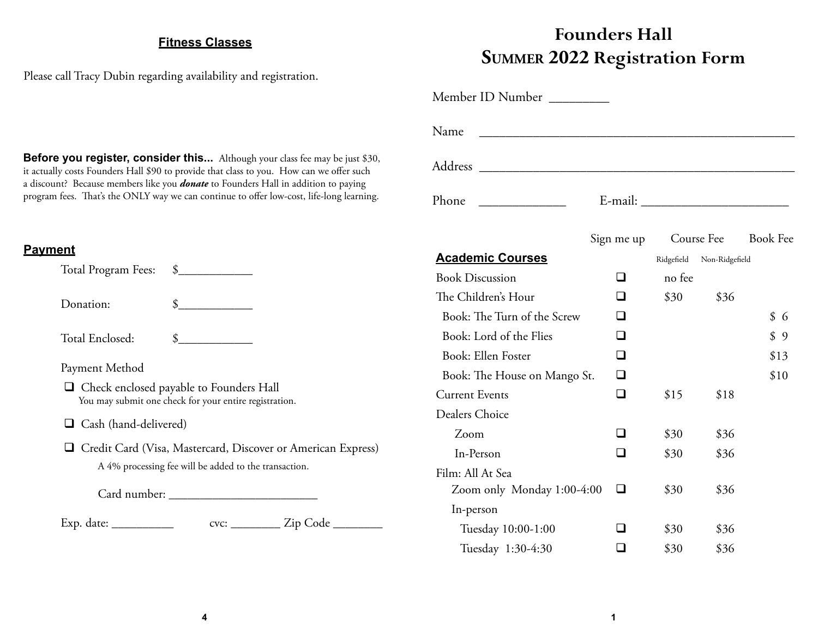## **Fitness Classes**

**Before you register, consider this...** Although your class fee may be just \$30, it actually costs Founders Hall \$90 to provide that class to you. How can we offer such a discount? Because members like you *donate* to Founders Hall in addition to paying program fees. That's the ONLY way we can continue to offer low-cost, life-long learning.

Please call Tracy Dubin regarding availability and registration.

## **Founders HallSUMMER 2022 Registration Form**

| Name                         |            |            |                 |         |
|------------------------------|------------|------------|-----------------|---------|
|                              |            |            |                 |         |
| Phone                        |            |            |                 |         |
|                              | Sign me up | Course Fee | <b>Book Fee</b> |         |
| <b>Academic Courses</b>      |            | Ridgefield | Non-Ridgefield  |         |
| <b>Book Discussion</b>       | l 1        | no fee     |                 |         |
| The Children's Hour          |            | \$30       | \$36            |         |
| Book: The Turn of the Screw  | □          |            |                 | \$<br>6 |
| Book: Lord of the Flies      | n          |            |                 | \$9     |
| Book: Ellen Foster           | n          |            |                 | \$13    |
| Book: The House on Mango St. | ∩          |            |                 | \$10    |
| <b>Current Events</b>        | П          | \$15       | \$18            |         |
| Dealers Choice               |            |            |                 |         |
| Zoom                         |            | \$30       | \$36            |         |
| In-Person                    |            | \$30       | \$36            |         |
| Film: All At Sea             |            |            |                 |         |
| Zoom only Monday 1:00-4:00   | П          | \$30       | \$36            |         |
| In-person                    |            |            |                 |         |
| Tuesday 10:00-1:00           |            | \$30       | \$36            |         |
| Tuesday 1:30-4:30            |            | \$30       | \$36            |         |

## **Payment**

| Total Program Fees: \$       |                                                                                                                         |
|------------------------------|-------------------------------------------------------------------------------------------------------------------------|
| Donation:                    | $\frac{\text{S}}{\text{S}}$                                                                                             |
| Total Enclosed:              | $\frac{\text{S}}{\text{S}}$                                                                                             |
| Payment Method               | $\Box$ Check enclosed payable to Founders Hall<br>You may submit one check for your entire registration.                |
| $\Box$ Cash (hand-delivered) |                                                                                                                         |
|                              | □ Credit Card (Visa, Mastercard, Discover or American Express)<br>A 4% processing fee will be added to the transaction. |
|                              |                                                                                                                         |
| Exp. date: $\_\_$            | cvc: __________ Zip Code _                                                                                              |